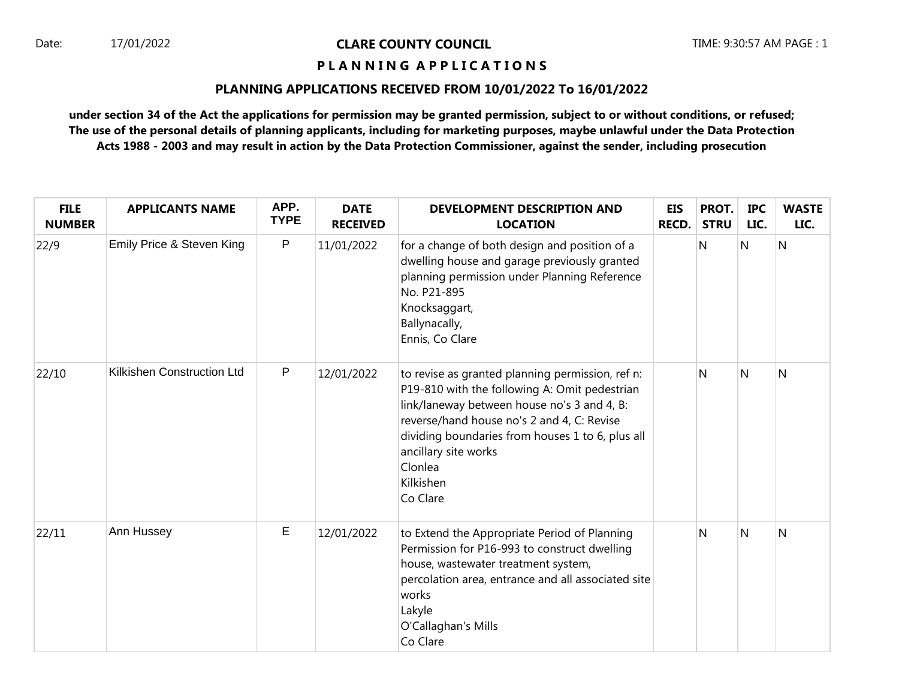## Date: 17/01/2022 **CLARE COUNTY COUNCIL** TIME: 9:30:57 AM PAGE : 1

# **P L A N N I N G A P P L I C A T I O N S**

## **PLANNING APPLICATIONS RECEIVED FROM 10/01/2022 To 16/01/2022**

**under section 34 of the Act the applications for permission may be granted permission, subject to or without conditions, or refused; The use of the personal details of planning applicants, including for marketing purposes, maybe unlawful under the Data Protection Acts 1988 - 2003 and may result in action by the Data Protection Commissioner, against the sender, including prosecution**

| <b>FILE</b><br><b>NUMBER</b> | <b>APPLICANTS NAME</b>     | APP.<br><b>TYPE</b> | <b>DATE</b><br><b>RECEIVED</b> | DEVELOPMENT DESCRIPTION AND<br><b>LOCATION</b>                                                                                                                                                                                                                                                                 | <b>EIS</b><br><b>RECD.</b> | PROT.<br><b>STRU</b> | <b>IPC</b><br>LIC. | <b>WASTE</b><br>LIC. |
|------------------------------|----------------------------|---------------------|--------------------------------|----------------------------------------------------------------------------------------------------------------------------------------------------------------------------------------------------------------------------------------------------------------------------------------------------------------|----------------------------|----------------------|--------------------|----------------------|
| 22/9                         | Emily Price & Steven King  | P                   | 11/01/2022                     | for a change of both design and position of a<br>dwelling house and garage previously granted<br>planning permission under Planning Reference<br>No. P21-895<br>Knocksaggart,<br>Ballynacally,<br>Ennis, Co Clare                                                                                              |                            | N                    | $\mathsf{N}$       | $\mathsf{N}$         |
| 22/10                        | Kilkishen Construction Ltd | ${\sf P}$           | 12/01/2022                     | to revise as granted planning permission, ref n:<br>P19-810 with the following A: Omit pedestrian<br>link/laneway between house no's 3 and 4, B:<br>reverse/hand house no's 2 and 4, C: Revise<br>dividing boundaries from houses 1 to 6, plus all<br>ancillary site works<br>Clonlea<br>Kilkishen<br>Co Clare |                            | N                    | N                  | N                    |
| 22/11                        | Ann Hussey                 | Е                   | 12/01/2022                     | to Extend the Appropriate Period of Planning<br>Permission for P16-993 to construct dwelling<br>house, wastewater treatment system,<br>percolation area, entrance and all associated site<br>works<br>Lakyle<br>O'Callaghan's Mills<br>Co Clare                                                                |                            | N                    | N                  | N                    |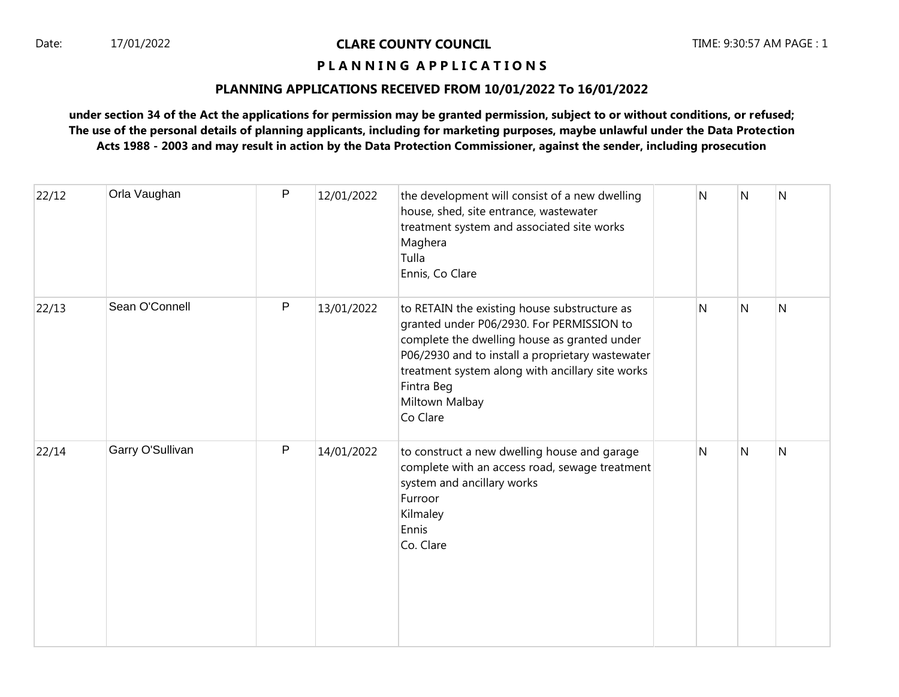## Date: 17/01/2022 **CLARE COUNTY COUNCIL** TIME: 9:30:57 AM PAGE : 1

## **P L A N N I N G A P P L I C A T I O N S**

### **PLANNING APPLICATIONS RECEIVED FROM 10/01/2022 To 16/01/2022**

**under section 34 of the Act the applications for permission may be granted permission, subject to or without conditions, or refused; The use of the personal details of planning applicants, including for marketing purposes, maybe unlawful under the Data Protection Acts 1988 - 2003 and may result in action by the Data Protection Commissioner, against the sender, including prosecution**

| 22/12 | Orla Vaughan     | P | 12/01/2022 | the development will consist of a new dwelling<br>house, shed, site entrance, wastewater<br>treatment system and associated site works<br>Maghera<br>Tulla<br>Ennis, Co Clare                                                                                                                 | N | N | N              |
|-------|------------------|---|------------|-----------------------------------------------------------------------------------------------------------------------------------------------------------------------------------------------------------------------------------------------------------------------------------------------|---|---|----------------|
| 22/13 | Sean O'Connell   | P | 13/01/2022 | to RETAIN the existing house substructure as<br>granted under P06/2930. For PERMISSION to<br>complete the dwelling house as granted under<br>P06/2930 and to install a proprietary wastewater<br>treatment system along with ancillary site works<br>Fintra Beg<br>Miltown Malbay<br>Co Clare | N | N | $\overline{N}$ |
| 22/14 | Garry O'Sullivan | P | 14/01/2022 | to construct a new dwelling house and garage<br>complete with an access road, sewage treatment<br>system and ancillary works<br>Furroor<br>Kilmaley<br>Ennis<br>Co. Clare                                                                                                                     | Ν | N | N              |